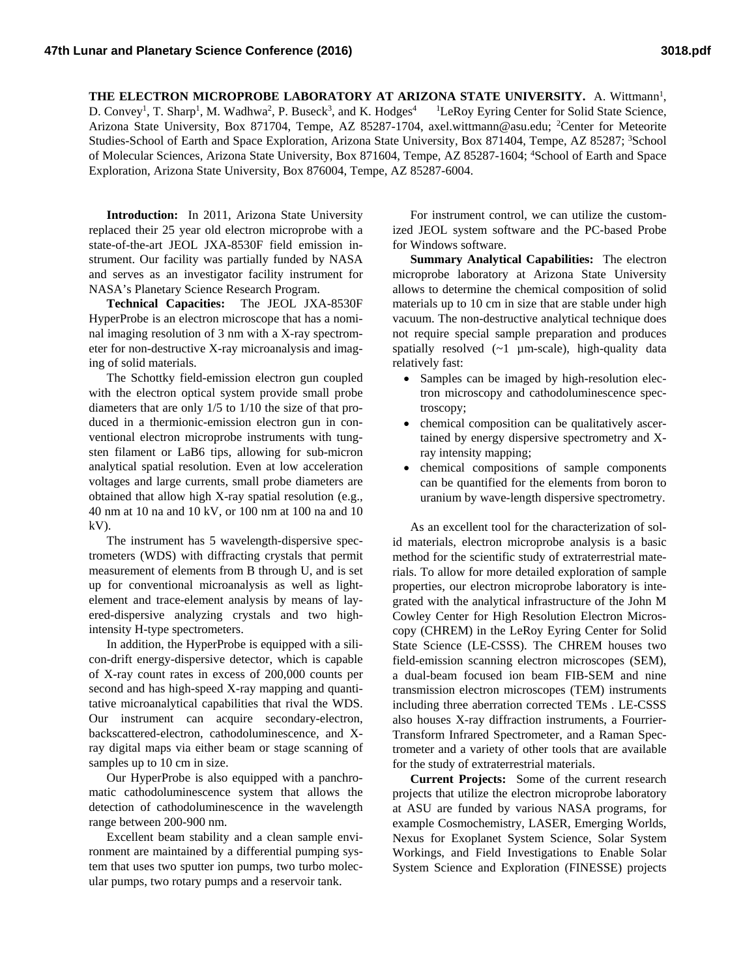THE ELECTRON MICROPROBE LABORATORY AT ARIZONA STATE UNIVERSITY. A. Wittmann<sup>1</sup>, D. Convey<sup>1</sup>, T. Sharp<sup>1</sup>, M. Wadhwa<sup>2</sup>, P. Buseck<sup>3</sup>, and K. Hodges<sup>4</sup> <sup>1</sup>LeRoy Eyring Center for Solid State Science, Arizona State University, Box 871704, Tempe, AZ 85287-1704, axel.wittmann@asu.edu; <sup>2</sup>Center for Meteorite Studies-School of Earth and Space Exploration, Arizona State University, Box 871404, Tempe, AZ 85287; <sup>3</sup>School of Molecular Sciences, Arizona State University, Box 871604, Tempe, AZ 85287-1604; <sup>4</sup>School of Earth and Space Exploration, Arizona State University, Box 876004, Tempe, AZ 85287-6004.

**Introduction:** In 2011, Arizona State University replaced their 25 year old electron microprobe with a state-of-the-art JEOL JXA-8530F field emission instrument. Our facility was partially funded by NASA and serves as an investigator facility instrument for NASA's Planetary Science Research Program.

**Technical Capacities:** The JEOL JXA-8530F HyperProbe is an electron microscope that has a nominal imaging resolution of 3 nm with a X-ray spectrometer for non-destructive X-ray microanalysis and imaging of solid materials.

The Schottky field-emission electron gun coupled with the electron optical system provide small probe diameters that are only 1/5 to 1/10 the size of that produced in a thermionic-emission electron gun in conventional electron microprobe instruments with tungsten filament or LaB6 tips, allowing for sub-micron analytical spatial resolution. Even at low acceleration voltages and large currents, small probe diameters are obtained that allow high X-ray spatial resolution (e.g., 40 nm at 10 na and 10 kV, or 100 nm at 100 na and 10 kV).

The instrument has 5 wavelength-dispersive spectrometers (WDS) with diffracting crystals that permit measurement of elements from B through U, and is set up for conventional microanalysis as well as lightelement and trace-element analysis by means of layered-dispersive analyzing crystals and two highintensity H-type spectrometers.

In addition, the HyperProbe is equipped with a silicon-drift energy-dispersive detector, which is capable of X-ray count rates in excess of 200,000 counts per second and has high-speed X-ray mapping and quantitative microanalytical capabilities that rival the WDS. Our instrument can acquire secondary-electron, backscattered-electron, cathodoluminescence, and Xray digital maps via either beam or stage scanning of samples up to 10 cm in size.

Our HyperProbe is also equipped with a panchromatic cathodoluminescence system that allows the detection of cathodoluminescence in the wavelength range between 200-900 nm.

Excellent beam stability and a clean sample environment are maintained by a differential pumping system that uses two sputter ion pumps, two turbo molecular pumps, two rotary pumps and a reservoir tank.

For instrument control, we can utilize the customized JEOL system software and the PC-based Probe for Windows software.

**Summary Analytical Capabilities:** The electron microprobe laboratory at Arizona State University allows to determine the chemical composition of solid materials up to 10 cm in size that are stable under high vacuum. The non-destructive analytical technique does not require special sample preparation and produces spatially resolved  $(-1 \mu m-scale)$ , high-quality data relatively fast:

- Samples can be imaged by high-resolution electron microscopy and cathodoluminescence spectroscopy;
- chemical composition can be qualitatively ascertained by energy dispersive spectrometry and Xray intensity mapping;
- chemical compositions of sample components can be quantified for the elements from boron to uranium by wave-length dispersive spectrometry.

As an excellent tool for the characterization of solid materials, electron microprobe analysis is a basic method for the scientific study of extraterrestrial materials. To allow for more detailed exploration of sample properties, our electron microprobe laboratory is integrated with the analytical infrastructure of the John M Cowley Center for High Resolution Electron Microscopy (CHREM) in the LeRoy Eyring Center for Solid State Science (LE-CSSS). The CHREM houses two field-emission scanning electron microscopes (SEM), a dual-beam focused ion beam FIB-SEM and nine transmission electron microscopes (TEM) instruments including three aberration corrected TEMs . LE-CSSS also houses X-ray diffraction instruments, a Fourrier-Transform Infrared Spectrometer, and a Raman Spectrometer and a variety of other tools that are available for the study of extraterrestrial materials.

**Current Projects:** Some of the current research projects that utilize the electron microprobe laboratory at ASU are funded by various NASA programs, for example Cosmochemistry, LASER, Emerging Worlds, Nexus for Exoplanet System Science, Solar System Workings, and Field Investigations to Enable Solar System Science and Exploration (FINESSE) projects